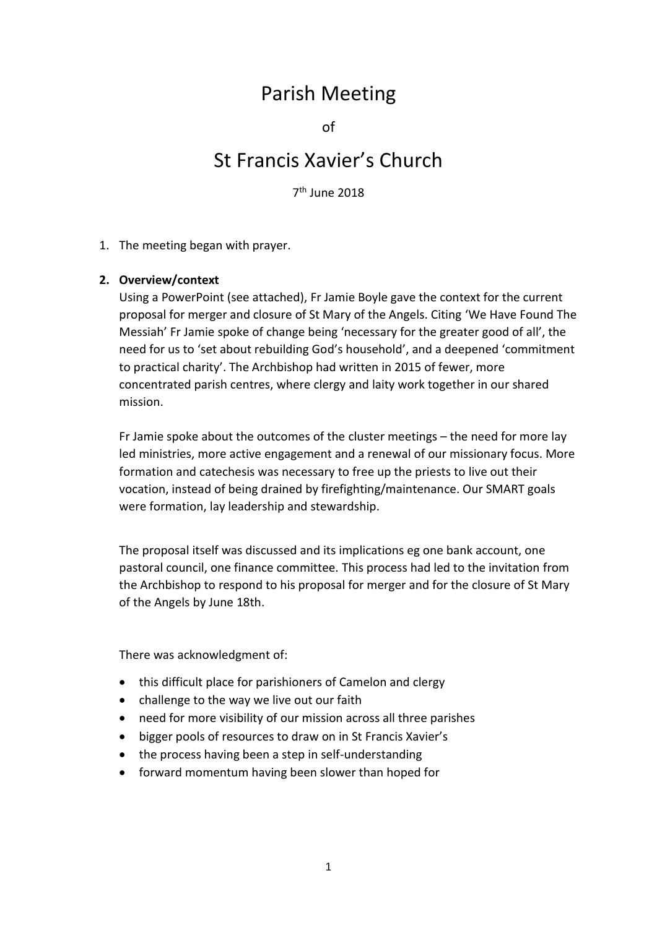## Parish Meeting

of

# St Francis Xavier's Church

7 th June 2018

#### 1. The meeting began with prayer.

## **2. Overview/context**

Using a PowerPoint (see attached), Fr Jamie Boyle gave the context for the current proposal for merger and closure of St Mary of the Angels. Citing 'We Have Found The Messiah' Fr Jamie spoke of change being 'necessary for the greater good of all', the need for us to 'set about rebuilding God's household', and a deepened 'commitment to practical charity'. The Archbishop had written in 2015 of fewer, more concentrated parish centres, where clergy and laity work together in our shared mission.

Fr Jamie spoke about the outcomes of the cluster meetings – the need for more lay led ministries, more active engagement and a renewal of our missionary focus. More formation and catechesis was necessary to free up the priests to live out their vocation, instead of being drained by firefighting/maintenance. Our SMART goals were formation, lay leadership and stewardship.

The proposal itself was discussed and its implications eg one bank account, one pastoral council, one finance committee. This process had led to the invitation from the Archbishop to respond to his proposal for merger and for the closure of St Mary of the Angels by June 18th.

There was acknowledgment of:

- this difficult place for parishioners of Camelon and clergy
- challenge to the way we live out our faith
- need for more visibility of our mission across all three parishes
- bigger pools of resources to draw on in St Francis Xavier's
- the process having been a step in self-understanding
- forward momentum having been slower than hoped for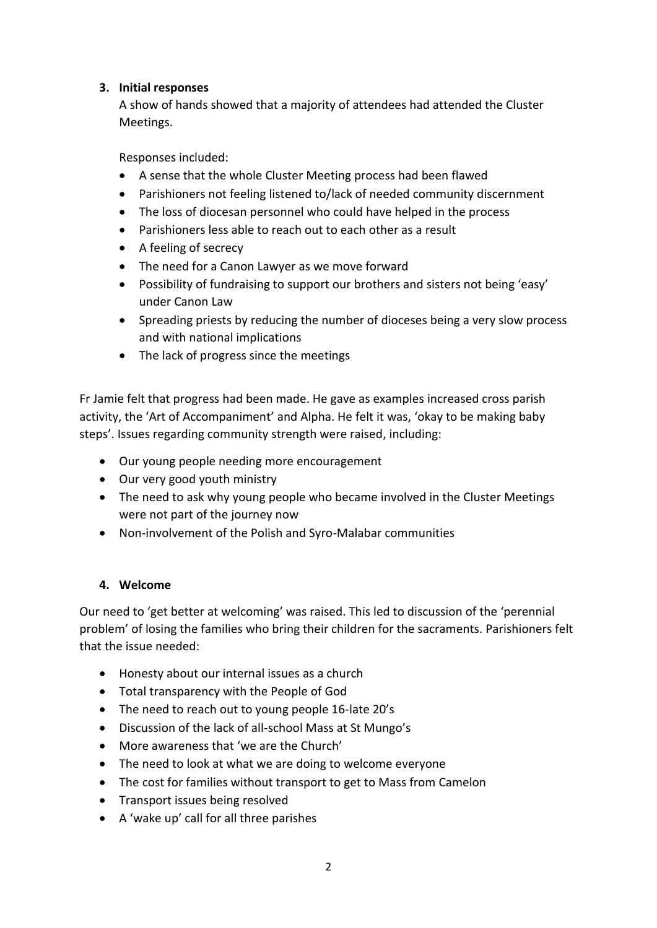## **3. Initial responses**

A show of hands showed that a majority of attendees had attended the Cluster Meetings.

Responses included:

- A sense that the whole Cluster Meeting process had been flawed
- Parishioners not feeling listened to/lack of needed community discernment
- The loss of diocesan personnel who could have helped in the process
- Parishioners less able to reach out to each other as a result
- A feeling of secrecy
- The need for a Canon Lawyer as we move forward
- Possibility of fundraising to support our brothers and sisters not being 'easy' under Canon Law
- Spreading priests by reducing the number of dioceses being a very slow process and with national implications
- The lack of progress since the meetings

Fr Jamie felt that progress had been made. He gave as examples increased cross parish activity, the 'Art of Accompaniment' and Alpha. He felt it was, 'okay to be making baby steps'. Issues regarding community strength were raised, including:

- Our young people needing more encouragement
- Our very good youth ministry
- The need to ask why young people who became involved in the Cluster Meetings were not part of the journey now
- Non-involvement of the Polish and Syro-Malabar communities

## **4. Welcome**

Our need to 'get better at welcoming' was raised. This led to discussion of the 'perennial problem' of losing the families who bring their children for the sacraments. Parishioners felt that the issue needed:

- Honesty about our internal issues as a church
- Total transparency with the People of God
- The need to reach out to young people 16-late 20's
- Discussion of the lack of all-school Mass at St Mungo's
- More awareness that 'we are the Church'
- The need to look at what we are doing to welcome everyone
- The cost for families without transport to get to Mass from Camelon
- Transport issues being resolved
- A 'wake up' call for all three parishes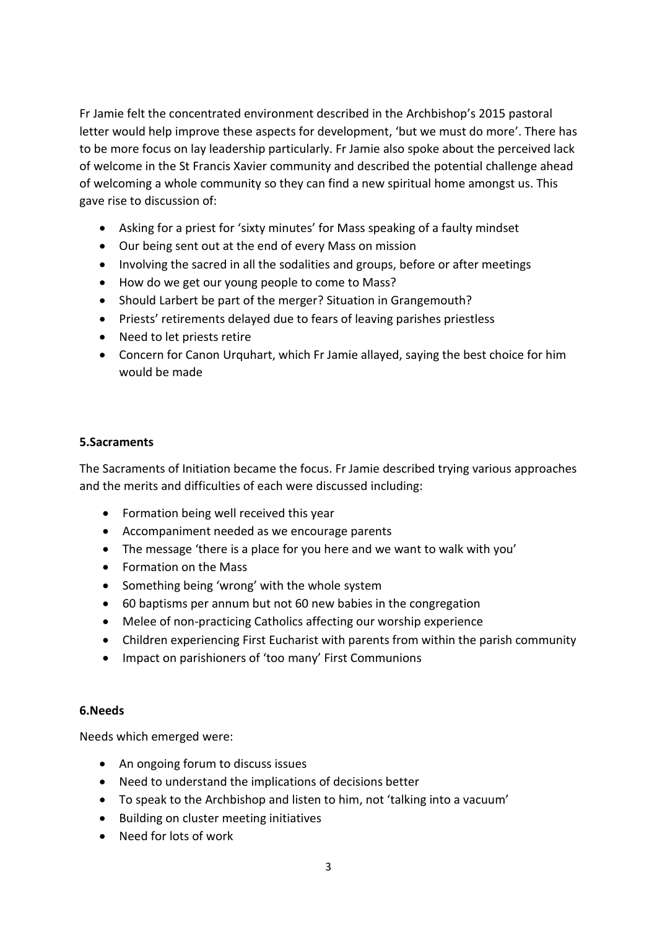Fr Jamie felt the concentrated environment described in the Archbishop's 2015 pastoral letter would help improve these aspects for development, 'but we must do more'. There has to be more focus on lay leadership particularly. Fr Jamie also spoke about the perceived lack of welcome in the St Francis Xavier community and described the potential challenge ahead of welcoming a whole community so they can find a new spiritual home amongst us. This gave rise to discussion of:

- Asking for a priest for 'sixty minutes' for Mass speaking of a faulty mindset
- Our being sent out at the end of every Mass on mission
- Involving the sacred in all the sodalities and groups, before or after meetings
- How do we get our young people to come to Mass?
- Should Larbert be part of the merger? Situation in Grangemouth?
- Priests' retirements delayed due to fears of leaving parishes priestless
- Need to let priests retire
- Concern for Canon Urquhart, which Fr Jamie allayed, saying the best choice for him would be made

## **5.Sacraments**

The Sacraments of Initiation became the focus. Fr Jamie described trying various approaches and the merits and difficulties of each were discussed including:

- Formation being well received this year
- Accompaniment needed as we encourage parents
- The message 'there is a place for you here and we want to walk with you'
- Formation on the Mass
- Something being 'wrong' with the whole system
- 60 baptisms per annum but not 60 new babies in the congregation
- Melee of non-practicing Catholics affecting our worship experience
- Children experiencing First Eucharist with parents from within the parish community
- Impact on parishioners of 'too many' First Communions

#### **6.Needs**

Needs which emerged were:

- An ongoing forum to discuss issues
- Need to understand the implications of decisions better
- To speak to the Archbishop and listen to him, not 'talking into a vacuum'
- Building on cluster meeting initiatives
- Need for lots of work